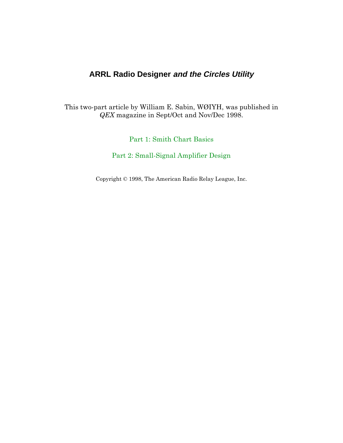## **ARRL Radio Designer and the Circles Utility**

This two-part article by William E. Sabin, WØIYH, was published in QEX magazine in Sept/Oct and Nov/Dec 1998.

 $Part 1: Smith Chart \; Basis$ 

Part 2: Small-Signal Amplifier Design

Copyright  $\odot$  1998, The American Radio Relay League, Inc.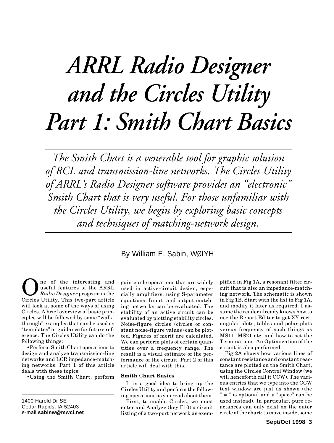## <span id="page-1-0"></span>*ARRL Radio Designer and the Circles Utility Part 1: Smith Chart Basics*

*The Smith Chart is a venerable tool for graphic solution of RCL and transmission-line networks. The Circles Utility of ARRL's Radio Designer software provides an "electronic" Smith Chart that is very useful. For those unfamiliar with the Circles Utility, we begin by exploring basic concepts and techniques of matching-network design.*

## By William E. Sabin, WØIYH

**O**ne of the interesting and<br> *Radio Designer* program is the<br>
Circles IItility This two-part article useful features of the ARRL Circles Utility. This two-part article will look at some of the ways of using Circles. A brief overview of basic principles will be followed by some "walkthrough" examples that can be used as "templates" or guidance for future reference. The Circles Utility can do the following things:

•Perform Smith Chart operations to design and analyze transmission-line networks and LCR impedance-matching networks. Part 1 of this article deals with these topics.

• Using the Smith Chart, perform

gain-circle operations that are widely used in active-circuit design, especially amplifiers, using S-parameter equations. Input- and output-matching networks can be evaluated. The stability of an active circuit can be evaluated by plotting stability circles. Noise-figure circles (circles of constant noise-figure values) can be plotted. Figures of merit are calculated. We can perform plots of certain quantities over a frequency range. The result is a visual estimate of the performance of the circuit. Part 2 of this article will deal with this.

### **Smith** C**hart Basics**

It is a good idea to bring up the Circles Utility and perform the following operations as you read about them.

First, to enable Circles, we must enter and Analyze (key F10) a circuit listing of a two-port network as exem-

plified in Fig 1A, a resonant filter circuit that is also an impedance-matching network. The schematic is shown in Fig 1B. Start with the list in Fig 1A, and modify it later as required. I assume the reader already knows how to use the Report Editor to get XY rectangular plots, tables and polar plots versus frequency of such things as MS11, MS21 etc, and how to set the Terminations. An Optimization of the circuit is also performed.

Fig 2A shows how various lines of constant resistance and constant reactance are plotted on the Smith Chart, using the Circles Control Window (we will henceforth call it CCW). The various entries that we type into the CCW text window are just as shown (the " = " is optional and a "space" can be used instead). In particular, pure reactances can only exist on the outer circle of the chart; to move inside, some

<sup>1400</sup> Harold Dr SE Cedar Rapids, IA 52403 e-mail **sabinw@mwci.net**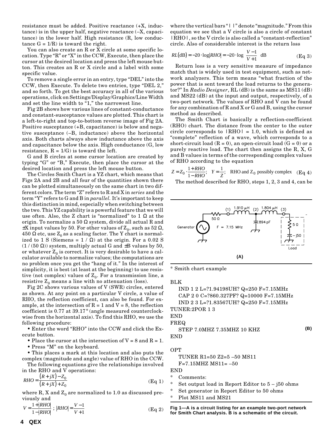resistance must be added. Positive reactance (+X, inductance) is in the upper half, negative reactance (–X, capacitance) in the lower half. High resistance (R, low conductance  $G = 1/R$ ) is toward the right.

You can also create an R or X circle at some specific location. Type "R" or "X" in the CCW, Execute, then place the cursor at the desired location and press the left mouse button. This creates an R or X circle and a label with some specific value.

To remove a single error in an entry, type "DEL" into the CCW, then Execute. To delete two entries, type "DEL 2," and so forth. To get the best accuracy in all of the various operations, click on Settings/Display/Graphics/Line Width and set the line width to "1," the narrowest line.

Fig 2B shows how various lines of constant-conductance and constant-susceptance values are plotted. This chart is a left-to-right and top-to-bottom reverse image of Fig 2A. Positive susceptance (+B, capacitance) is below and negative susceptance (–B, inductance) above the horizontal axis. Both charts always show inductance above the axis and capacitance below the axis. High conductance (G, low resistance,  $R = 1/G$  is toward the left.

G and B circles at some cursor location are created by typing "G" or "B," Execute, then place the cursor at the desired location and press the left mouse button.

The Circles Smith Chart is a YZ chart, which means that Figs 2A and 2B and all four of the quantities shown there can be plotted simultaneously on the same chart in two different colors. The term "Z" refers to R and X in *series* and the term "Y" refers to G and B in *parallel.* It's important to keep this distinction in mind, especially when switching between the two. This YZ capability is a powerful feature that we will use often. Also, the Z chart is "normalized" to  $1 \Omega$  at the origin. To normalize a 50  $\Omega$  system, divide all actual R and  $\pm X$  input values by 50. For other values of  $Z_0$ , such as 52  $\Omega$ , 450  $\Omega$  etc, use  $Z_0$  as a scaling factor. The Y chart is normalized to 1 S (Siemens =  $1 / \Omega$ ) at the origin. For a 0.02 S  $(1/(50 \Omega))$  system, multiply actual G and  $\pm$ B values by 50, or whatever  $Z_0$  is correct. It is very desirable to have a calculator available to normalize values; the computations are no problem once you get the "hang of it." In the interest of simplicity, it is best (at least at the beginning) to use resistive (not complex) values of  $Z_0$ . For a transmission line, a resistive  $Z_0$  means a line with no attenuation (loss).

Fig 2C shows various values of V (SWR) circles, entered as shown. At any point on a particular V circle, a value of RHO, the reflection coefficient, can also be found. For example, at the intersection of  $R = 1$  and  $V = 8$ , the reflection coefficient is 0.77 at 39.17° (angle measured counterclockwise from the horizontal axis). To find this RHO, we use the following procedure:

• Enter the word "RHO" into the CCW and click the Execute button.

• Place the cursor at the intersection of  $V = 8$  and  $R = 1$ .

• Press "M" on the keyboard.

• This places a mark at this location and also puts the complex (magnitude and angle) value of RHO in the CCW.

The following equations give the relationships involved in the RHO and V operations:

$$
RHO = \frac{(R + jX) - Z_0}{(R + jX) + Z_0}
$$
 (Eq 1)

where R, X and  $Z_0$  are normalized to 1.0 as discussed previously and

$$
V = \frac{1 + |RHO|}{1 - |RHO|} ; |RHO| = \frac{V - 1}{V + 1}
$$
 (Eq 2)

where the vertical bars "| |" denote "magnitude." From this equation we see that a V circle is also a circle of constant |RHO|, so the V circle is also called a "constant-reflection" circle. Also of considerable interest is the return loss

$$
RL(\text{dB}) = -20 \cdot \log |RHO| = -20 \cdot \log \left(\frac{V-1}{V+1}\right) \text{dB}
$$
 (Eq 3)

Return loss is a very sensitive measure of impedance match that is widely used in test equipment, such as network analyzers. This term means "what fraction of the power that is sent toward the load returns to the generator?" In *Radio Designer*, RL (dB) is the same as MS11 (dB) and MS22 (dB) at the input and output, respectively, of a two-port network. The values of RHO and V can be found for any combination of R and X or G and B, using the cursor method as described.

The Smith Chart is basically a reflection-coefficient (RHO) chart. The distance from the center to the outer circle corresponds to  $|RHO| = 1.0$ , which is defined as "complete" reflection of a wave, which corresponds to a short-circuit load  $(R = 0)$ , an open-circuit load  $(G = 0)$  or a purely reactive load. The chart then assigns the R, X, G and B values in terms of the corresponding complex values of RHO according to the equation

$$
Z = Z_0 \cdot \frac{1 + RHO}{1 - RHO}; \quad Y = \frac{1}{Z}; \quad \text{RHO and } Z_0 \text{ possibly complex} \quad (\text{Eq 4})
$$

The method described for RHO, steps 1, 2, 3 and 4, can be



\* Smith chart example

BLK

IND 1 2 L=?1.94198UH? Q=250 F=7.15MHz CAP 2 0 C=?860.327PF? Q=10000 F=7.15MHz IND 2 3 L=?1.83567UH? Q=250 F=7.15MHz TUNER:2POR 1 3

### END FREQ

STEP 7.0MHZ 7.35MHZ 10 KHZ END **(B)**

### **OPT**

TUNER R1=50 Z2=5 –50 MS11 F=7.15MHZ MS11= –50

END

- \* Comments:
- \* Set output load in Report Editor to 5 j50 ohms
- Set generator in Report Editor to 50 ohms
- Plot MS11 and MS21

**Fig 1—A is a circuit listing for an example two-port network for Smith Chart analysis. B is a schematic of the circuit.**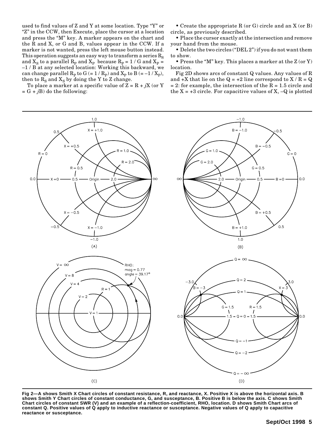used to find values of Z and Y at some location. Type "Y" or "Z" in the CCW, then Execute, place the cursor at a location and press the "M" key. A marker appears on the chart and the R and X, or G and B, values appear in the CCW. If a marker is not wanted, press the left mouse button instead. This operation suggests an easy way to transform a series  $R_s$ and  $X_S$  to a parallel  $R_P$  and  $X_P$  because  $R_P = 1/G$  and  $X_P = 1/G$  at any soloted location; Working this bockward, we –1 / B at any selected location. Working this backward, we can change parallel  $R_P$  to  $G (= 1 / R_P)$  and  $X_P$  to  $B (= -1 / X_P)$ , then to  $R_S$  and  $X_S$  by doing the Y to Z change.

To place a marker at a specific value of  $Z = R + jX$  (or Y  $= G + iB$ ) do the following:

• Create the appropriate R (or G) circle and an X (or B) circle, as previously described.

• Place the cursor exactly at the intersection and remove your hand from the mouse.

• Delete the two circles ("DEL 2") if you do not want them to show.

• Press the "M" key. This places a marker at the Z (or Y) location.

Fig 2D shows arcs of constant Q values. Any values of R and  $+X$  that lie on the  $Q = +2$  line correspond to  $X/R = Q$  $= 2$ : for example, the intersection of the R  $= 1.5$  circle and the  $X = +3$  circle. For capacitive values of X,  $-Q$  is plotted



**Fig 2—A shows Smith X Chart circles of constant resistance, R, and reactance, X. Positive X is above the horizontal axis. B shows Smith Y Chart circles of constant conductance, G, and susceptance, B. Positive B is below the axis. C shows Smith Chart circles of constant SWR (V) and an example of a reflection-coefficient, RHO, location. D shows Smith Chart arcs of constant Q. Positive values of Q apply to inductive reactance or susceptance. Negative values of Q apply to capacitive reactance or susceptance.**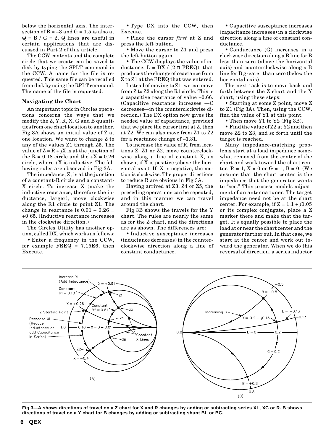below the horizontal axis. The intersection of  $B = -3$  and  $G = 1.5$  is also at  $Q = B / G = 2$ . Q lines are useful in certain applications that are discussed in Part 2 of this article.

The CCW contents and the complete circle that we create can be saved to disk by typing the SPLT command in the CCW. A name for the file is requested. This same file can be recalled from disk by using the RPLT command. The name of the file is requested.

### **Navigating the Chart**

An important topic in Circles operations concerns the ways that we modify the Z, Y, R, X, G and B quantities from one chart location to another. Fig 3A shows an initial value of Z at one location. We want to change Z to any of the values Z1 through Z5. The value of  $Z = R + jX$  is at the junction of the  $R = 0.18$  circle and the  $+X = 0.26$ circle, where +X is inductive. The following rules are observed in Fig 3A:

The impedance, Z, is at the junction of a constant-R circle and a constant-X circle. To increase X (make the inductive reactance, therefore the inductance, larger), move clockwise along the R1 circle to point Z1. The change in reactance is  $0.91 - 0.26 =$ +0.65. (Inductive reactance increases in the clockwise direction.)

The Circles Utility has another option, called DX, which works as follows:

• Enter a frequency in the CCW, for example  $FREG = 7.15E6$ , then Execute.

• Type DX into the CCW, then Execute.

• Place the cursor *first* at Z and press the left button.

• Move the cursor to Z1 and press the left button again.

• The CCW displays the value of inductance,  $L = DX / (2 \pi FREQ)$ , that produces the change of reactance from Z to Z1 at the FREQ that was entered.

Instead of moving to Z1, we can move from Z to Z2 along the R1 circle. This is a capacitive reactance of value –0.66. (Capacitive reactance increases —C decreases—in the counterclockwise direction.) The DX option now gives the needed value of capacitance, provided that we place the cursor first at Z, then at Z2. We can also move from Z1 to Z2 for a reactance change of –1.31.

To increase the value of R, from locations Z, Z1 or Z2, move counterclockwise along a line of constant X, as shown, if X is positive (above the horizontal axis). If X is negative, the motion is clockwise. The proper directions to reduce R are obvious in Fig 3A.

Having arrived at Z3, Z4 or Z5, the preceding operations can be repeated, and in this manner we can travel around the chart.

Fig 3B shows the travels for the Y chart. The rules are nearly the same as for the Z chart, and the directions are as shown. The differences are:

• Inductive susceptance increases (inductance decreases) in the counterclockwise direction along a line of constant conductance.

• Capacitive susceptance increases (capacitance increases) in a clockwise direction along a line of constant conductance.

• Conductance (G) increases in a clockwise direction along a B line for B less than zero (above the horizontal axis) and counterclockwise along a B line for B greater than zero (below the horizontal axis).

The next task is to move back and forth between the Z chart and the Y chart, using these steps:

• Starting at some Z point, move Z to Z1 (Fig 3A). Then, using the CCW, find the value of Y1 at this point.

• Then move Y1 to Y2 (Fig 3B).

• Find the value of Z2 at Y2 and then move Z2 to Z3, and so forth until the target is reached.

Many impedance-matching problems start at a load impedance somewhat removed from the center of the chart and work toward the chart center,  $R = 1$ ,  $X = 0$  or  $G = 1$ ,  $B = 0$ . (We assume that the chart center is the impedance that the generator wants to "see." This process models adjustment of an antenna tuner. The target impedance need not be at the chart center. For example, if  $Z = 1.1 + j0.05$ or its complex conjugate, place a Z marker there and make that the target. It's equally possible to place the load at or near the chart center and the generator farther out. In that case, we start at the center and work out toward the generator. When we do this reversal of direction, a series inductor



**Fig 3—A shows directions of travel on a Z chart for X and R changes by adding or subtracting series XL, XC or R. B shows directions of travel on a Y chart for B changes by adding or subtracting shunt BL or BC.**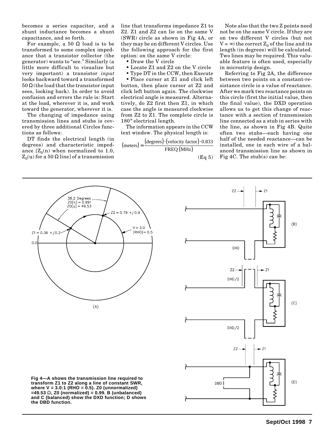becomes a series capacitor, and a shunt inductance becomes a shunt capacitance, and so forth.

For example, a 50  $\Omega$  load is to be transformed to some complex impedance that a transistor collector (the generator) wants to "see." Similarly (a little more difficult to visualize but very important) a transistor *input* looks backward toward a transformed  $50 \Omega$  (the load that the transistor input sees, looking back). In order to avoid confusion and errors the rule is: Start at the load, wherever it is, and work toward the generator, wherever it is.

The changing of impedance using transmission lines and stubs is covered by three additional Circles functions as follows:

DT finds the electrical length (in degrees) and characteristic impedance  $[Z_0(n)$  when normalized to 1.0,  $Z_0(u)$  for a 50  $\Omega$  line] of a transmission line that transforms impedance Z1 to Z2. Z1 and Z2 can lie on the same V (SWR) circle as shown in Fig 4A, or they may be on different V circles. Use the following approach for the first option: on the same V circle:

• Draw the V circle

- Locate Z1 and Z2 on the V circle
- Type DT in the CCW, then Execute

• Place cursor at Z1 and click left button, then place cursor at Z2 and click left button again. The clockwise electrical angle is measured. Alternatively, do Z2 first then Z1, in which case the angle is measured clockwise from Z2 to Z1. The complete circle is 180° electrical length.

The information appears in the CCW text window. The physical length is:

$$
(\text{meters}) = \frac{(\text{degrees}) \cdot (\text{velocity factor}) \cdot 0.833}{\text{FREG (MHz)}}
$$

(Eq 5)

Note also that the two Z points need not be on the same V circle. If they are on two different V circles (but not  $V = \infty$ ) the correct  $Z_0$  of the line and its length (in degrees) will be calculated. Two lines may be required. This valuable feature is often used, especially in microstrip design.

Referring to Fig 2A, the difference between two points on a constant-resistance circle is a value of reactance. After we mark two reactance points on this circle (first the initial value, then the final value), the DXD operation allows us to get this change of reactance with a section of transmission line connected as a stub in series with the line, as shown in Fig 4B. Quite often two stubs—each having one half of the needed reactance—can be installed, one in each wire of a balanced transmission line as shown in Fig 4C. The stub(s) can be:





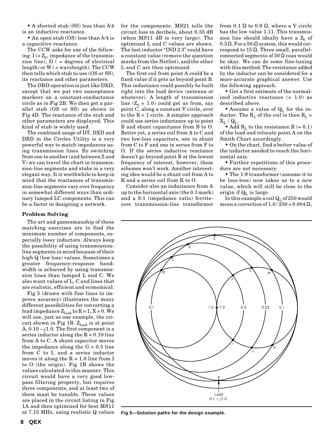• A shorted stub (SS) less than  $\lambda/4$ is an inductive reactance.

• An open stub (OS) less than  $\lambda$ /4 is a capacitive reactance.

The CCW asks for one of the following:  $I (= Z_0$ , impedance of the transmission line),  $D$  ( = degrees of electrical  $length$ ) or  $W$  ( = wavelength). The CCW then tells which stub to use (OS or SS), its reactance and other parameters.

The DBD operation is just like DXD, except that we put two susceptance markers on a constant-conductance circle as in Fig 2B. We then get a parallel stub (OS or SS) as shown in Fig 4D. The reactance of the stub and other parameters are displayed. This kind of stub is widely used.

The combined usage of DT, DXD and DBD in the Circles Utility is a very powerful way to match impedances using transmission lines. By switching from one to another (and between Z and Y) we can travel the chart in transmission-line segments and stubs in a very elegant way. It is worthwhile to keep in mind that the reactances of transmission-line segments vary over frequency in somewhat different ways than ordinary lumped LC components. This can be a factor in designing a network.

### **Problem Solving**

The art and gamesmanship of these matching exercises are to find the minimum number of components, especially lossy inductors. Always keep the possibility of using transmissionline segments in mind because of their high Q (low loss) values. Sometimes a greater frequency-response bandwidth is achieved by using transmission lines than lumped L and C. We also want values of L, C and lines that are realistic, efficient and economical.

Fig 5 (drawn with fine lines to improve accuracy) illustrates the many different possibilities for converting a load impedance  $Z_{load}$  to  $R = 1$ ,  $X = 0$ . We will use, just as one example, the circuit shown in Fig 1B.  $Z_{load}$  is at point A,  $0.10 - j1.0$ . The first component is a series inductor along the  $R = 0.10$  line from A to C. A shunt capacitor moves the impedance along the  $G = 0.5$  line from C to I, and a series inductor moves it along the  $R = 1.0$  line from I to O (the origin). Fig 1B shows the values calculated in this manner. This circuit would have a very good lowpass filtering property, but requires three components, and at least two of them must be tunable. These values are placed in the circuit listing in Fig 1A and then optimized for best MS11 at 7.15 MHz, using realistic Q values for the components. MS21 tells the circuit loss in decibels, about 0.35 dB (when MS11 dB is very large). The optimized L and C values are shown. The last inductor "IND 2 3" could have a constant value (remove the question marks from the Netlist), and the other L and C are then optimized.

The first coil from point A could be a fixed value if it gets us beyond point B. This inductance could possibly be built right into the load device (antenna or whatever). A length of transmission line  $(Z_0 = 1.0)$  could get us from, say point C, along a constant V circle, over to the  $R = 1$  circle. A simpler approach could use series inductance up to point B and shunt capacitance from B to O. Better yet, a series coil from A to C and two low-loss capacitors, one in shunt from C to F and one in series from F to O. If the series inductive reactance doesn't go beyond point B at the lowest frequency of interest, however, these schemes won't work. Another interesting idea would be a shunt coil from A to K and a series coil from K to O.

Consider also an inductance from A up to the horizontal axis (the 0.1 mark) and a 9:1 (impedance ratio) ferritecore transmission-line transformer

from 0.1 Ω to 0.9 Ω, where a V circle has the low value 1.11. This transmission line should ideally have a  $Z_0$  of 0.3  $\Omega$ . For a 50- $\Omega$  system, this would correspond to 15  $Ω$ . Three small, parallelconnected segments of  $50 \Omega$  coax would be okay. We can do some fine-tuning with this method. The resistance added by the inductor can be considered for a more-accurate graphical answer. Use the following approach:

• Get a first estimate of the normalized inductive reactance  $(= 1.0)$  as described above.

• Assume a value of  $Q_L$  for the inductor. The  $R_L$  of the coil is then  $R_L$  =  $\mathbf{X}_\mathrm{L}$  /  $\mathbf{Q}_\mathrm{L}.$ 

• Add  $R_L$  to the resistance R (= 0.1) of the load and relocate point A on the Smith Chart accordingly.

• On the chart, find a better value of the inductor needed to reach the horizontal axis.

• Further repetitions of this procedure are not necessary.

• The 1:9 transformer (assume it to be loss-less) now takes us to a new value, which will still be close to the origin if  $Q_L$  is large.

In this example a coil  $Q_L$  of 250 would mean a correction of  $1.0 / 250 = 0.004 \Omega$ ,



**Fig 5—Solution paths for the design example.**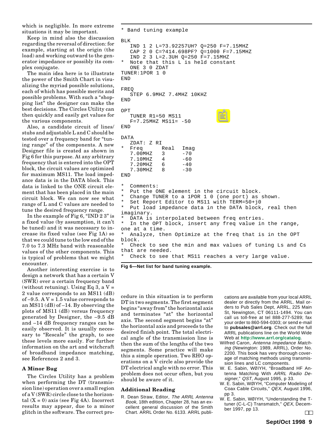which is negligible. In more extreme situations it may be important.

Keep in mind also the discussion regarding the reversal of direction: for example, starting at the origin (the load) and working outward to the generator impedance or possibly its complex conjugate.

The main idea here is to illustrate the power of the Smith Chart in visualizing the myriad possible solutions, each of which has possible merits and possible problems. With such a "shopping list" the designer can make the best decisions. The Circles Utility can then quickly and easily get values for the various components.

Also, a candidate circuit of lines/ stubs and adjustable L and C should be tested over a frequency band for "tuning range" of the components. A new Designer file is created as shown in Fig 6 for this purpose. At any arbitrary frequency that is entered into the OPT block, the circuit values are optimized for maximum MS11. The load impedance data is in the DATA block. This data is linked to the ONE circuit element that has been placed in the main circuit block. We can now see what range of L and C values are needed to tune the desired frequency range.

In the example of Fig 6, "IND 2 3" is a fixed value (by assumption, it can't be tuned) and it was necessary to increase its fixed value (see Fig 1A) so that we could tune to the low end of the 7.0 to 7.3 MHz band with reasonable values of the other components. This is typical of problems that we might encounter.

Another interesting exercise is to design a network that has a certain V (SWR) over a certain frequency band (without retuning). Using Eq 3, a  $V =$ 2 value corresponds to an MS11 (dB) of  $-9.5$ . A V = 1.5 value corresponds to an MS11 (dB) of –14. By observing the plots of MS11 (dB) versus frequency generated by Designer, the –9.5 dB and –14 dB frequency ranges can be easily observed. It is usually necessary to "Rescale" the graph, to see these levels more easily. For further information on the art and witchcraft of broadband impedance matching, see References 2 and 3.

### **A Minor Bug**

The Circles Utility has a problem when performing the DT (transmission line) operation over a small region of a V (SWR) circle close to the horizontal  $(X = 0)$  axis (see Fig 4A). Incorrect results may appear, due to a minor glitch in the software. The correct pro-

```
* Band tuning example
BLK
   IND 1 2 L=?3.92257UH? Q=250 F=7.15MHZ
   CAP 2 0 C=?414.698PF? Q=1000 F=7.15MHZ
   IND 2 3 L=2.3UH Q=250 F=7.15MHZ
  Note that this L is held constant
   ONE 3 0 ZDAT
TUNER:1POR 1 0
END
FREQ
   STEP 6.9MHZ 7.4MHZ 10KHZ
END
OPT
   TUNER R1=50 MS11
   F=7.25MHZ MS11= -50END
DATA
   ZDAT: Z RI
  Freq Real Imag<br>7.00MHZ 3 -70
   7.00MHZ
   7.10MHZ 4 -60<br>7.20MHZ 6 -40
   7.20MHZ 6 -40<br>7.30MHZ 8 -30
   7.30MHZ
END
   Comments:
   Put the ONE element in the circuit block.
  Change TUNER to a 1POR 1 0 (one port) as shown.
   Set Report Editor to MS11 with TERM=50+j0
  Put load impedance data in the DATA block, real then
imaginary.
  DATA is interpolated between freq entries.
  In the OPT block, insert any freq value in the range,
one at a time.
* Analyze, then Optimize at the freq that is in the OPT
block.
   Check to see the min and max values of tuning Ls and Cs
that are needed.
  Check to see that MS11 reaches a very large value.
```


cedure in this situation is to perform DT in two segments. The first segment begins "away from" the horizontal axis and terminates "at" the horizontal axis. The second segment begins "at" the horizontal axis and proceeds to the desired finish point. The total electrical angle of the transmission line is then the sum of the lengths of the two segments. Some practice will make this a simple operation. Two RHO operations on a V circle also provide the DT electrical angle with no error. This problem does not occur often, but you should be aware of it.

### **Additional Reading**

R. Dean Straw, Editor, The ARRL Antenna Book, 18th edition, Chapter 28, has an excellent general discussion of the Smith Chart. ARRL Order No. 6133. ARRL publications are available from your local ARRL dealer or directly from the ARRL. Mail orders to Pub Sales Dept, ARRL, 225 Main St, Newington, CT 06111-1494. You can call us toll-free at tel 888-277-5289; fax your order to 860-594-0303; or send e-mail to **pubsales@arrl.org**. Check out the full ARRL publications line on the World Wide Web at **[http://www.arrl.org/catalog](http://www.arrl.org/catalog/)**.

- Wilfred Caron, Antenna Impedance Matching (Newington: 1989, ARRL), Order No. 2200. This book has very thorough coverage of matching methods using transmission lines and LC components.
- W. E. Sabin, WØIYH, "Broadband HF Antenna Matching With ARRL Radio Designer," QST, August 1995, p 33.
- W. E. Sabin, WØIYH, "Computer Modeling of Coax Cable Circuits," QEX, August 1996, pp 3.
- W. E. Sabin, WØIYH, "Understanding the Ttuner (C-L-C) Transmatch," QEX, December 1997, pp 13.  $\Box$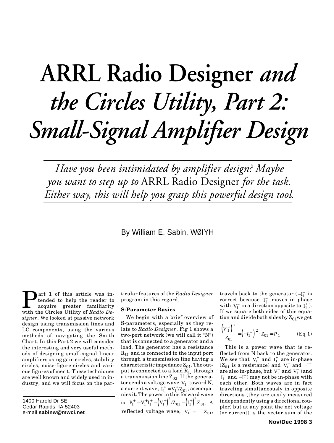# <span id="page-8-0"></span>**ARRL Radio Designer** *and the Circles Utility, Part 2: Small-Signal Amplifier Design*

*Have you been intimidated by amplifier design? Maybe you want to step up to* ARRL Radio Designer *for the task. Either way, this will help you grasp this powerful design tool.*

## By William E. Sabin, WØIYH

art 1 of this article was intended to help the reader to acquire greater familiarity with the Circles Utility of *Radio Designer*. We looked at passive network design using transmission lines and LC components, using the various methods of navigating the Smith Chart. In this Part 2 we will consider the interesting and very useful methods of designing small-signal linear amplifiers using gain circles, stability circles, noise-figure circles and various figures of merit. These techniques are well known and widely used in industry, and we will focus on the par-

1400 Harold Dr SE Cedar Rapids, IA 52403 e-mail **sabinw@mwci.net**

ticular features of the *Radio Designer* program in this regard.

### **S-Parameter Basics**

We begin with a brief overview of S-parameters, especially as they relate to *Radio Designer*. Fig 1 shows a two-port network (we will call it "N") that is connected to a generator and a load. The generator has a resistance  $R_G$  and is connected to the input port through a transmission line having a characteristic impedance  $Z_{01}$ . The output is connected to a load  $R_L$  through a transmission line  $Z_{02}$ . If the generator sends a voltage wave  $V_1^+$  toward N, a current wave,  $I_1^+ = V_1^+/Z_{01}$ , accompanies it. The power in this forward wave is  $P_1^+ = V_1^+ I_1^+ = (V_1^+)^2 / Z_{01} = (I_1^+)^2 Z$  $_{01} = \{1_1$  $v_1^+ = V_1^+ I_1^+ = (V_1^+)^2 / Z_{01} = (I_1^+)^2 Z_{01}$ . A reflected voltage wave,  $V_1^- = -I_1^- Z_{01}$ ,

travels back to the generator  $(-I_1^-)$  is correct because  $I_1^-$  moves in phase with  $V_1^-$  in a direction opposite to  $I_1^+$ ). If we square both sides of this equation and divide both sides by  $Z_{01}$ we get

$$
\left(\frac{V_1^-}{Z_{01}}\right)^2 = \left(-I_1^-\right)^2 \cdot Z_{01} = P_1^- \qquad (\text{Eq 1})
$$

This is a power wave that is reflected from N back to the generator. We see that  $V_1^+$  and  $I_1^+$  are in-phase  $(Z_{01}$  is a resistance) and  $V_1^-$  and  $-I_1^$ are also in-phase, but  $V_1^+$  and  $V_1^-$  (and  $I_1^+$  and  $-I_1^-$  may not be in-phase with each other. Both waves are in fact traveling simultaneously in opposite directions (they are easily measured independently using a directional coupler) but at any point the net voltage (or current) is the vector sum of the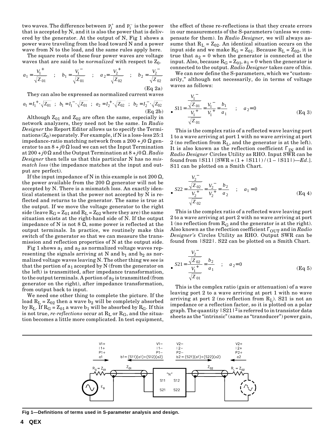two waves. The difference between  $P_1^+$  and  $P_1^-$  is the power that is accepted by N, and it is also the power that is delivered by the generator. At the output of N, Fig 1 shows a power wave traveling from the load toward N and a power wave from N to the load, and the same rules apply here.

The square roots of these four power waves are voltage waves that are said to be *normalized* with respect to  $Z_0$ .

$$
a_1 = \frac{V_1^+}{\sqrt{Z_{01}}} \quad ; \quad b_1 = \frac{V_1^-}{\sqrt{Z_{01}}} \quad ; \quad a_2 = \frac{V_2^+}{\sqrt{Z_{02}}} \quad ; \quad b_2 = \frac{V_2^-}{\sqrt{Z_{02}}} \tag{Eq 2a}
$$

They can also be expressed as normalized current waves

$$
a_1 = I_1^+ \cdot \sqrt{Z_{01}}
$$
;  $b_1 = I_1^- \cdot \sqrt{Z_{01}}$ ;  $a_2 = I_2^+ \cdot \sqrt{Z_{02}}$ ;  $b_2 = I_2^- \cdot \sqrt{Z_{02}}$   
(Eq 2b)

Although  $Z_{01}$  and  $Z_{02}$  are often the same, especially in network analyzers, they need not be the same. In *Radio Designer* the Report Editor allows us to specify the Terminations  $(Z_0)$  separately. For example, if N is a loss-less 25:1 impedance-ratio matching network from a 200 + *j*0 Ω generator to an  $8 + j0 \Omega$  load we can set the Input Termination at 200 + *j*0 Ω and the Output Termination at 8 + *j*0 Ω. *Radio Designer* then tells us that this particular N has no *mismatch loss* (the impedance matches at the input and output are perfect).

If the input impedance of N in this example is not  $200 \Omega$ , the power available from the 200  $\Omega$  generator will not be accepted by N. There is a mismatch loss. An exactly identical statement is that the power not accepted by N is reflected and returns to the generator. The same is true at the output. If we move the voltage generator to the right side (leave  $R_G = Z_{01}$  and  $R_L = Z_{02}$  where they are) the same situation exists at the right-hand side of N. If the output impedance of N is not 8 Ω, some power is reflected at the output terminals. In practice, we routinely make this switch of the generator so that we can measure the transmission and reflection properties of N at the output side.

Fig 1 shows  $a_1$  and  $a_2$  as normalized voltage waves representing the signals arriving at N and  $b_1$  and  $b_2$  as normalized voltage waves leaving N. The other thing we see is that the portion of  $a_1$  accepted by N (from the generator on the left) is transmitted, after impedance transformation, to the output terminals. A portion of  $a_2$  is transmitted (from generator on the right), after impedance transformation, from output back to input.

We need one other thing to complete the picture. If the load  $R_L = Z_{02}$  then a wave  $b_2$  will be completely absorbed by  $R_L$ . If  $R_G = Z_{01}$  a wave  $b_1$  will be absorbed by  $R_G$ . If this is not true, *re-reflections* occur at  $R<sub>L</sub>$  or  $R<sub>G</sub>$ , and the situation becomes a little more complicated. In test equipment,

the effect of these re-reflections is that they create errors in our measurements of the S-parameters (unless we compensate for them). In *Radio Designer,* we will always assume that  $R_L = Z_{02}$ . An identical situation occurs on the input side and we make  $R_G = Z_{01}$ . Because  $R_L = Z_{02}$ , it is true that  $a_2 = 0$  when the generator is connected at the input. Also, because  $R_G = Z_{01}$ ,  $a_1 = 0$  when the generator is connected to the output. *Radio Designer* takes care of this.

We can now define the S-parameters, which we "customarily," although not necessarily, do in terms of voltage waves as follows:

$$
\bullet SI1 = \frac{\frac{V_1}{\sqrt{Z_{01}}}}{\frac{V_1}{\sqrt{Z_{01}}}} = \frac{V_1}{V_1^+} = \frac{b_1}{a_1} \quad ; \quad a_2 = 0
$$
 (Eq 3)

This is the complex ratio of a reflected wave leaving port 1 to a wave arriving at port 1 with no wave arriving at port 2 (no reflection from  $R_L$ , and the generator is at the left). It is also known as the reflection coefficient  $\Gamma_{\text{IN}}$  and in *Radio Designer* Circles Utility as RHO. Input SWR can be found from |S11| [SWR = (1 + |S11|) / (1 – |S11|)—*Ed*.]. S11 can be plotted on a Smith Chart.

$$
\bullet \quad S22 = \frac{\frac{V_2^-}{\sqrt{Z_{02}}}}{\frac{V_2^+}{\sqrt{Z_{02}}}} = \frac{V_2^-}{V_2^+} = \frac{b_2}{a_2} \quad ; \quad a_1 = 0 \tag{Eq 4}
$$

This is the complex ratio of a reflected wave leaving port 2 to a wave arriving at port 2 with no wave arriving at port 1 (no reflection from  $R_G$  and the generator is at the right). Also known as the reflection coefficient  $\Gamma_{\text{OUT}}$  and in  $Radio$ *Designer's* Circles Utility as RHO. Output SWR can be found from |S22|. S22 can be plotted on a Smith Chart.

$$
\bullet \quad S21 = \frac{\frac{V_2^-}{\sqrt{Z_{02}}}}{\frac{V_1^+}{\sqrt{Z_{01}}}} = \frac{b_2}{a_1} \quad ; \quad a_2 = 0 \tag{Eq 5}
$$

This is the complex ratio (gain or attenuation) of a wave leaving port 2 to a wave arriving at port 1 with no wave arriving at port 2 (no reflection from  $R_L$ ). S21 is not an impedance or a reflection factor, so it is plotted on a polar graph. The quantity  $|S21|^2$  is referred to in transistor data sheets as the "intrinsic" (same as "transducer") power gain,



**Fig 1—Definitions of terms used in S-parameter analysis and design.**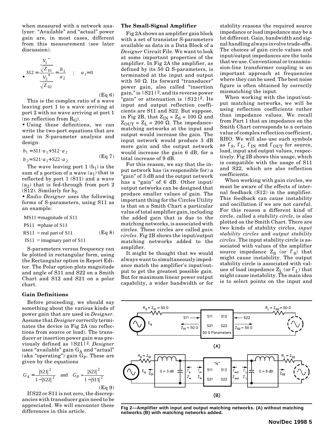when measured with a network analyzer. "Available" and "actual" power gain are, in most cases, different from this measurement (see later discussion).

$$
\bullet SI2 = \frac{\frac{V_1}{\sqrt{Z_{01}}}}{\frac{V_2^+}{\sqrt{Z_{02}}}} = \frac{b_1}{a_2} \quad ; \quad a_1 = 0
$$

(Eq 6)

This is the complex ratio of a wave leaving port 1 to a wave arriving at port 2 with no wave arriving at port 1 (no reflection from  $R_G$ ).

• Using these definitions, we can write the two-port equations that are used in S-parameter analysis and design:

$$
b_1 = S11 \cdot a_1 + S12 \cdot a_2
$$
  
\n
$$
b_2 = S21 \cdot a_1 + S22 \cdot a_2
$$
 (Eq 7)

The wave leaving port  $1(b_1)$  is the sum of a portion of a wave  $(a_1)$  that is reflected by port 1 (S11) and a wave  $(a_2)$  that is fed-through from port 2  $(S12)$ . Similarly for  $b_2$ .

*• Radio Designer* uses the following forms of S-parameters, using S11 as an example:

$$
MS11 =
$$
 magnitude of S11

 $PS11 = phase of S11$ 

 $RS11$  = real part of S11 (Eq 8)

 $IS11 =$  imaginary part of S11

S-parameters versus frequency can be plotted in rectangular form, using the Rectangular option in Report Editor. The Polar option plots magnitude and angle of S11 and S22 on a Smith Chart and S12 and S21 on a polar chart.

### **Gain Definitions**

Before proceeding, we should say something about the various kinds of power gain that are used in *Designer*. Assume that *Designer* correctly terminates the device in Fig 2A (no reflections from source or load). The transducer or insertion power gain was previously defined as |S21|2. *Designer* uses "available" gain  $G_A$  and "actual" (aka "operating") gain  $G_P$ . These are given by the equations

$$
G_A = \frac{|S21|^2}{1 - |S22|^2} \quad \text{and} \quad G_P = \frac{|S21|^2}{1 - |S11|^2}
$$
\n(Eq 9)

If S22 or S11 is not zero, the discrepancies with transducer gain need to be appreciated. We will encounter these differences in this article.

### **The Small-Signal Amplifier**

Fig 2A shows an amplifier gain block with a set of transistor S-parameters available as data in a Data Block of a *Designer* Circuit File. We want to look at some important properties of the amplifier. In Fig 2A the amplifier, as defined by its 50  $\Omega$  S-parameters, is terminated at the input and output with 50  $Ω$ . Its forward "transducer" power gain, also called "insertion gain," is  $|S21|^2$ , and its reverse power "gain" or attenuation is  $|S12|^2$ . Its input and output reflection coefficients are S11 and S22. But suppose, in Fig 2B, that  $Z_{IN} = Z_S = 100 \Omega$  and  $Z_{\text{OUT}} = Z_{\text{L}} = 200 \Omega$ . The impedancematching networks at the input and output would increase the gain. The input network would produce 3 dB more gain and the output network would increase the gain 6 dB, for a total increase of 9 dB.

For this reason, we say that the input network has (is responsible for) a "gain" of 3 dB and the output network has a "gain" of 6 dB. Other input/ output networks can be designed that produce smaller values of gain. The important thing for the Circles Utility is that on a Smith Chart a particular value of total amplifier gain, including the added gain that is due to the matching networks, is associated with circles. These circles are called *gain circles*. Fig 2B shows the input/output matching networks added to the amplifier.

It might be thought that we would always want to simultaneously impedance match the amplifier's input/output to get the greatest possible gain. But for maximum linear power output capability, a wider bandwidth or for stability reasons the required source impedance or load impedance may be a lot different. Gain, bandwidth and signal handling always involve trade-offs. The choices of gain circle values and input/output impedances are the tools that we use. Conventional or transmission-line transformer coupling is an important approach at frequencies where they can be used. The best noise figure is often obtained by correctly mismatching the input.

When working with the input/output matching networks, we will be using reflection coefficients rather than impedance values. We recall from Part 1 that an impedance on the Smith Chart corresponds to a certain value of complex reflection coefficient, RHO. We will also use such symbols as  $\Gamma_{\rm S}$ ,  $\Gamma_{\rm L}$ ,  $\Gamma_{\rm IN}$  and  $\Gamma_{\rm OUT}$  for source, load, input and output values, respectively. Fig 2B shows this usage, which is compatible with the usage of S11 and S22, which are also reflection coefficients.

When working with gain circles, we must be aware of the effects of internal feedback (S12) in the amplifier. This feedback can cause instability and oscillation if we are not careful. For this reason a different kind of circle, called a *stability circle*, is also plotted on the Smith Chart. There are two kinds of stability circles, *input stability circles* and *output stability circles*. The input stability circle is associated with values of the amplifier source impedance  $Z_S$  (or  $\Gamma_S$ ) that might cause instability. The output stability circle is associated with values of load impedance  $Z_L$  (or  $\Gamma_L$ ) that might cause instability. The main idea is to select points on the input and



**Fig 2—Amplifier with input and output matching networks. (A) without matching networks (B) with matching networks added.**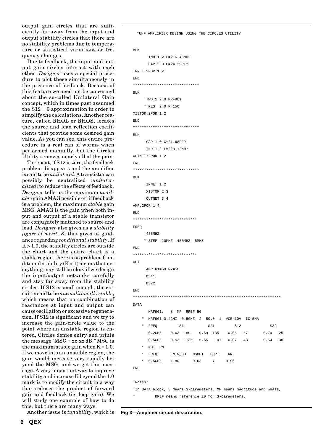output gain circles that are sufficiently far away from the input and output stability circles that there are no stability problems due to temperature or statistical variations or frequency changes.

Due to feedback, the input and output gain circles interact with each other. *Designer* uses a special procedure to plot these simultaneously in the presence of feedback. Because of this feature we need not be concerned about the so-called Unilateral Gain concept, which in times past assumed the S12 = 0 approximation in order to simplify the calculations. Another feature, called RHOL or RHOS, locates the source and load reflection coefficients that provide some desired gain value. As you can see, this entire procedure is a real can of worms when performed manually, but the Circles Utility removes nearly all of the pain.

To repeat, if S12 is zero, the feedback problem disappears and the amplifier is said to be *unilateral*. A transistor can possibly be neutralized (*unilateralized*) to reduce the effects of feedback. *Designer* tells us the maximum *available* gain AMAG possible or, if feedback is a problem, the maximum *stable* gain MSG. AMAG is the gain when both input and output of a stable transistor are conjugately matched to source and load. *Designer* also gives us a *stability figure of merit, K,* that gives us guidance regarding *conditional stability*. If  $K > 1.0$ , the stability circles are outside the chart and the entire chart is a stable region, there is no problem. Conditional stability  $(K<1)$  means that everything may still be okay if we design the input/output networks carefully and stay far away from the stability circles. If S12 is small enough, the circuit is said to be *unconditionally stable*, which means that no combination of reactances at input and output can cause oscillation or excessive regeneration. If S12 is significant and we try to increase the gain-circle value to the point where an unstable region is entered, Circles denies entry and prints the message " $MSG = xx.xx$  dB."  $MSG$  is the maximum stable gain when  $K = 1.0$ . If we move into an unstable region, the gain would increase very rapidly beyond the MSG, and we get this message. A very important way to improve stability and increase K beyond the 1.0 mark is to modify the circuit in a way that reduces the product of forward gain and feedback (ie, loop gain). We will study one example of how to do this, but there are many ways.

Another issue is *tunability*, which is

```
BLK
           INNET 1 2
          XISTOR 2 3
           OUTNET 3 4
    AMP:2POR 1 4
    END
     *****************************
    FREQ
           435MHZ
          * STEP 420MHZ 450MHZ 5MHZ
    END
     *****************************
    OPT
           AMP R1=50 R2=50
           MS11
           MS22
    END
     *******************************************************************
    DATA
           MRF901: S MP RREF=50
          MRF901 0.4GHZ 0.5GHZ 2 50.0 1 VCE=10V IC=5MA
      * FREQ S11 S21 S12 S22
           0.2GHZ 0.63 -69 9.69 135 0.05 57 0.79 -25
      0.5GHZ 0.53 -135 5.65 101 0.07 43 0.54 -38
           * NOI RN
          FREQ FMIN_DB MGOPT GOPT RN
      * 0.5GHZ 1.80 0.63 7 0.96
    END
    *Notes:
     *In DATA block, S means S-parameters, MP means magnitude and phase,
             RREF means reference Z0 for S-parameters.
Fig 3—Amplifier circuit description.
```
\*UHF AMPLIFIER DESIGN USING THE CIRCLES UTILITY

 IND 1 2 L=?16.45NH? CAP 2 0 C=?4.39PF?

\*\*\*\*\*\*\*\*\*\*\*\*\*\*\*\*\*\*\*\*\*\*\*\*\*\*\*\*\*\*

 TWO 1 2 0 MRF901 \* RES 2 0 R=150

\*\*\*\*\*\*\*\*\*\*\*\*\*\*\*\*\*\*\*\*\*\*\*\*\*\*\*\*\*\*

 CAP 1 0 C=?1.68PF? IND 1 2 L=?23.12NH?

\*\*\*\*\*\*\*\*\*\*\*\*\*\*\*\*\*\*\*\*\*\*\*\*\*\*\*\*\*\*

BLK

END

BLK

END

BLK

END

INNET:2POR 1 2

XISTOR:2POR 1 2

OUTNET:2POR 1 2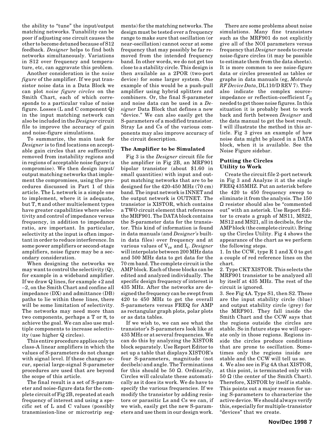the ability to "tune" the input/output matching networks. Tunability can be poor if adjusting one circuit causes the other to become detuned because of S12 feedback. *Designer* helps to find both networks simultaneously. Variations in S12 over frequency and temperature, etc, can aggravate this problem.

Another consideration is the *noise figure* of the amplifier. If we put transistor noise data in a Data Block we can plot *noise figure circles* on the Smith Chart, each of which corresponds to a particular value of noise figure. Losses (L and C component Q) in the input matching network can also be included in the *Designer* circuit file to improve the accuracy of gain and noise-figure simulations.

To summarize, the main task for *Designer* is to find locations on acceptable gain circles that are sufficently removed from instability regions and in regions of acceptable noise figure (a compromise). We then design input/ output matching networks that implement the compromises, using the procedures discussed in Part 1 of this article. The L network is a simple one to implement, where it is adequate, but T,  $\pi$  and other multielement types have greater capabilities where selectivity and control of impedance versus frequency, in addition to impedance ratio, are important. In particular, selectivity at the input is often important in order to reduce interference. In some power amplifiers or second-stage amplifiers, noise figure may be a secondary consideration.

When designing the networks we may want to control the selectivity (Q), for example in a wideband amplifier. If we draw Q lines, for example +2 and –2, on the Smith Chart and confine all impedance (DX) and admittance (DB) paths to lie within these lines, there will be some limitation of selectivity. The networks may need more than two components, perhaps a T or  $\pi$ , to achieve the goal. We can also use multiple components to increase selectivity (use higher Q circles).

This entire procedure applies only to class-A linear amplifiers in which the values of S-parameters do not change with signal level. If these changes occur, special large-signal S-parameter procedures are used that are beyond the scope of this article.

The final result is a set of S-parameter and noise-figure data for the complete circuit of Fig 2B, repeated at each frequency of interest and using a specific set of L and C values (possibly transmission-line or microstrip segments) for the matching networks. The design must be tested over a frequency range to make sure that oscillation (or near-oscillation) cannot occur at some frequency that may possibly be far removed from the intended frequency band. In other words, we do not get too close to a stability circle. This design is then available as a 2POR (two-port device) for some larger system. One example of this would be a push-pull amplifier using hybrid splitters and combiners. Or, the final S-parameter and noise data can be used in a *Designer* Data Block that defines a new "device." We can also easily get the S-parameters of a modified transistor. Stray Ls and Cs of the various components may also improve accuracy of the circuit description.

### **The Amplifier to be Simulated**

Fig 3 is the *Designer* circuit file for the amplifier in Fig 2B, an MRF901 bipolar transistor (about \$1.60 in small quantities) with input and output matching networks that are to be designed for the 420-450 MHz (70 cm) band. The input network is INNET and the output network is OUTNET. The transistor is XISTOR, which contains a TWO circuit element that references the MRF901. The DATA block contains the S-parameter data for the transistor. This kind of information is found in data manuals (and *Designer's* builtin data files) over frequency and at various values of V<sub>ce</sub> and I<sub>c</sub>. *Designer* will interpolate between 200 MHz data and 500 MHz data to get data for the 70 cm band. The complete circuit is the AMP block. Each of these blocks can be edited and analyzed individually. The specific design frequency of interest is 435 MHz. After the networks are designed the frequency can be swept from 420 to 450 MHz to get the overall S-parameters versus FREQ for AMP as rectangular graph plots, polar plots or as data tables.

If we wish to, we can see what the transistor's S-parameters look like at 435 MHz or at several frequencies. We can do this by analyzing the XISTOR block separately. Use Report Editor to set up a table that displays XISTOR's four S-parameters, magnitude (not decibels) and angle. The Terminations for this should be 50  $\Omega$ . Ordinarily, Circles will calculate these automatically as it does its work. We do have to specify the various frequencies. If we modify the transistor by adding resistors or parasitic Ls and Cs we can, if we wish, easily get the new S-parameters and use them in our design work.

There are some problems about noise simulations. Many fine transistors such as the MRF901 do not explicitly give all of the NOI parameters versus frequency that *Designer* needs to create noise-figure circles (it may be possible to estimate them from the data sheets). It is more common to see noise-figure data or circles presented as tables or graphs in data manuals (eg, *Motorola RF Device Data*, DL110/D REV 7). They also indicate the complex sourceimpedance or reflection-coefficient  $\Gamma_{\rm S}$ needed to get those noise figures. In this situation it is probably best to work back and forth between *Designer* and the data manual to get the best result. I will illustrate the method in this article. Fig 3 gives an example of how noise data might be placed in a DATA block, when it is available. See the Noise Figure sidebar.

### **Putting the Circles Utility to Work**

Create the circuit file 2-port network in Fig 3 and Analyze it at the single FREQ 435MHZ. Put an asterisk before the 420 to 450 frequency sweep to eliminate it from the analysis. The 150 Ω resistor should also be "commented out" with an asterisk. Use Report Editor to create a graph of MS11, MS22, MS12 and MS21, all in decibels, for the AMP block (the complete circuit). Bring up the Circles Utility. Fig 4 shows the appearance of the chart as we perform the following steps.

1. In the CCW, type R 1 and X 0 to get a couple of red reference lines on the chart.

2. Type CKT XISTOR. This selects the MRF901 transistor to be analyzed all by itself at 435 MHz. The rest of the circuit is ignored.

3. See Fig 4A. Type S1, then S2. These are the input stability circle (blue) and output stability circle (grey) for the MRF901. They fall inside the Smith Chart and the CCW says that the regions outside the circles are stable. So in future steps we will operate only in those regions. Regions inside the circles produce conditions that are prone to oscillation. Sometimes only the regions inside are stable and the CCW will tell us so.

4. We also see in Fig 4A that XISTOR, at this point, is terminated only with 50  $\Omega$  (the center of the Smith Chart). Therefore, XISTOR by itself is stable. This points out a major reason for using S-parameters to characterize the active device. We should always verify this, especially for multiple-transistor "devices" that we create.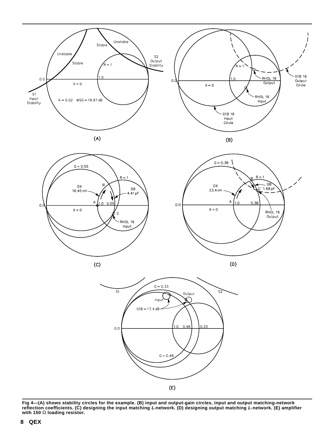

**Fig 4—(A) shows stability circles for the example. (B) input and output-gain circles, input and output matching-network reflection coefficients. (C) designing the input matching L-network. (D) designing output matching L-network. (E) amplifier with 150** Ω **loading resistor.**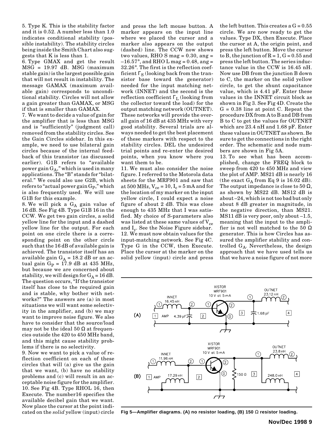5. Type K. This is the stability factor and it is 0.52. A number less than 1.0 indicates conditional stability (possible instability). The stability circles being inside the Smith Chart also suggests that K is less than 1.

6. Type GMAX and get the result MSG = 19.97 dB. MSG (maximum stable gain) is the largest possible gain that will not result in instability. The message GAMAX (maximum available gain) corresponds to unconditional stability. Circles will not allow a gain greater than GAMAX, or MSG if that is smaller than GAMAX.

7. We want to decide a value of gain for the amplifier that is less than MSG and is "sufficiently" (judgment call) removed from the stability circles. See the Gain Circles sidebar. In this example, we need to use bilateral gain circles because of the internal feedback of this transistor (as discussed earlier). G1B refers to "available power gain  $\mathrm{G}_\mathrm{A}$ ," which is used in many applications. The "B" stands for "bilateral." We could also use G2B, which refers to "actual power gain G<sub>P</sub>," which is also frequently used. We will use G1B for this example.

8. We will pick a  $G_A$  gain value of 16 dB. See Fig 4B. Type G1B 16 in the CCW. We get two gain circles, a solid yellow line for the input and a dashed yellow line for the output. For each point on one circle there is a corresponding point on the other circle such that the 16 dB of available gain is achieved. The transistor itself has an available gain  $G_A = 18.2$  dB or an actual gain  $G_P = 17.9$  dB at 435 MHz, but because we are concerned about stability, we will design for  $G_A = 16$  dB. The question occurs, "If the transistor itself has close to the required gain and is stable, why bother with networks?" The answers are (a) in most situations we will want some selectivity in the amplifier, and (b) we may want to improve noise figure. We also have to consider that the source/load may not be the ideal 50  $\Omega$  at frequencies outside the 420 to 450 MHz band, and this might cause stability problems if there is no selectivity.

9. Now we want to pick a value of reflection coefficient on each of these circles that will (a) give us the gain that we want, (b) have no stability problems and (c) will result in an acceptable noise figure for the amplifier. 10. See Fig 4B. Type RHOL 16, then Execute. The number16 specifies the available decibel gain that we want. Now place the cursor at the point indicated on the *solid* yellow (input) circle

and press the left mouse button. A marker appears on the input line where we placed the cursor and a marker also appears on the output (dashed) line. The CCW now shows two values, RHO S mag  $= 0.30$ , ang  $=$  $-16.57^{\circ}$ , and RHO L mag = 0.48, ang = 32.26°. The first is the reflection coefficient  $\Gamma_{\rm S}$  (looking back from the transistor base toward the generator) needed for the input matching network (INNET) and the second is the reflection coefficient ΓL (looking from the collector toward the load) for the output matching network (OUTNET). These networks will provide the overall gain of 16 dB at 435 MHz with very good stability. Several trials are always needed to get the best placement of these markers with respect to the stability circles. DEL the undesired trial points and re-enter the desired points, when you know where you want them to be.

11. We must also consider the noise figure. I referred to the Motorola data sheets for the MRF901 and saw that at 500 MHz,  $V_{ce} = 10$ ,  $I_c = 5$  mA and for the location of my marker on the input yellow circle, I could expect a noise figure of about 2 dB. This was close enough to 435 MHz that I was satisfied. My choice of S-parameters also was listed at these same values of  $V_{ce}$ and I<sub>c</sub>. See the Noise Figure sidebar. 12. We must now obtain values for the input-matching network. See Fig 4C. Type G in the CCW, then Execute. Place the cursor at the marker on the solid yellow (input) circle and press the left button. This creates a  $G = 0.55$ circle. We are now ready to get the values. Type DX, then Execute. Place the cursor at A, the origin point, and press the left button. Move the cursor to B, the junction of  $R = 1$ ,  $G = 0.55$  and press the left button. The series inductance value in the CCW is 16.45 nH. Now use DB from the junction B down to C, the marker on the solid yellow circle, to get the shunt capacitance value, which is 4.41 pF. Enter these values in the INNET circuit block as shown in Fig 3. See Fig 4D. Create the  $G = 0.38$  line at point C. Repeat the procedure DX from A to B and DB from B to C to get the values for OUTNET which are 23.4 nH and 1.68 pF. Enter these values in OUTNET as shown. Be sure to get the connections in the right order. The schematic and node numbers are shown in Fig 5A.

13. To see what has been accomplished, change the FREQ block to sweep from 420 to 450 MHz and view the plot of AMP. MS21 dB is nearly 16 (the exact  $G_A$  from Eq 9 is 16.02 dB). The output impedance is close to 50  $\Omega$ , as shown by MS22 dB. MS12 dB is about –24, which is not too bad but only about 8 dB greater in magnitude, in the negative direction, than MS21. MS11 dB is very poor, only about –1.5, meaning that the input to the amplifier is not well matched to the 50  $\Omega$ generator. This is how Circles has assured the amplifier stability and controlled GA. Nevertheless, the design approach that we have used tells us that we have a noise figure of not more



**Fig 5—Amplifier diagrams. (A) no resistor loading, (B) 150** Ω **resistor loading.**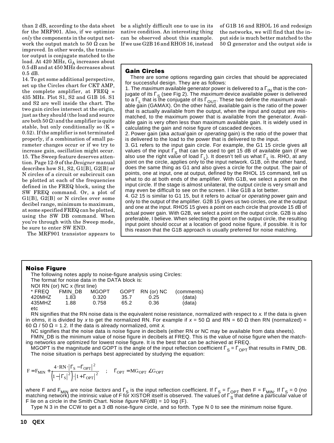than 2 dB, according to the data sheet for the MRF901. Also, if we optimize *only* the components in the output network the output match to 50  $\Omega$  can be improved. In other words, the transistor output is conjugate matched to the load. At 420 MHz, GA increases about 0.5 dB and at 450 MHz decreases about 0.5 dB.

14. To get some additional perspective, set up the Circles chart for CKT AMP, the complete amplifier, at  $FREG =$ 435 MHz. Plot S1, S2 and G1B 16. S1 and S2 are well inside the chart. The two gain circles intersect at the origin, just as they should (the load and source are both  $50 \Omega$ ) and the amplifier is quite stable, but only conditionally so  $(K =$ 0.52). If the amplifier is not terminated properly, if a combination of small parameter changes occur or if we try to increase gain, oscillation might occur. 15. The Sweep feature deserves attention. Page 12-9 of the *Designer* manual describes how S1, S2, G1[B], G2[B] or N circles of a circuit or subcircuit can be plotted at each of the frequencies defined in the FREQ block, using the SW FREQ command. Or, a plot of G1[B], G2[B] or N circles over some decibel range, minimum to maximum, at some specified FREQ can be plotted, using the SW DB command. When you're through with the Sweep mode, be sure to enter SW END.

The MRF901 transistor appears to

be a slightly difficult one to use in its native condition. An interesting thing can be observed about this example. If we use G2B 16 and RHOS 16, instead of G1B 16 and RHOL 16 and redesign the networks, we will find that the input side is much better matched to the 50 Ω generator and the output side is

## Gain Circles

There are some options regarding gain circles that should be appreciated for successful design. They are as follows:

1. The *maximum* available generator power is delivered to a  $\Gamma_{IN}$  that is the conjugate of its  $\Gamma_{\mathsf{S}}$  (see Fig 2). The *maximum* device available power is delivered to a Γ<sub>L</sub> that is the conjugate of its Γ<sub>OUT</sub>. These two define the *maximum* avail-<br>able gain (GAMAX). On the other hand, available gain is the ratio of the power that is actually available from the output, when the input and output are mismatched, to the maximum power that is available from the generator. Available gain is very often less than maximum available gain. It is widely used in calculating the gain and noise figure of cascaded devices.

2. Power gain (aka *actual* gain or *operating* gain) is the ratio of the power that is delivered to the load to the power that is delivered to the input.

3. G1 refers to the input gain circle. For example, the G1 15 circle gives all values of the input  $\Gamma_{\rm S}$  that can be used to get 15 dB of available gain (if we also use the right value of load  $\Gamma_l$ ). It doesn't tell us what  $\Gamma_l$  is. RHO, at any point on the circle, applies only to the input network. G1B, on the other hand, does the same thing as G1 and also gives a circle for the output. The pair of points, one at input, one at output, defined by the RHOL 15 command, tell us what to do at both ends of the amplifier. With G1B, we select a point on the input circle. If the stage is almost unilateral, the output circle is very small and may even be difficult to see on the screen. I like G1B a lot better.

4. G2 15 is similar to G1 15, but it refers to actual or operating power gain and only to the output of the amplifier. G2B 15 gives us two circles, one at the output and one at the input. RHOS 15 gives a point on each circle that provide 15 dB of actual power gain. With G2B, we select a point on the output circle. G2B is also preferable, I believe. When selecting the point on the output circle, the resulting input point should occur at a location of good noise figure, if possible. It is for this reason that the G1B approach is usually preferred for noise matching.

### Noise Figure

|        |                                                 |              |      | The following notes apply to noise-figure analysis using Circles: |            |
|--------|-------------------------------------------------|--------------|------|-------------------------------------------------------------------|------------|
|        | The format for noise data in the DATA block is: |              |      |                                                                   |            |
|        | NOI RN (or) NC x (first line)                   |              |      |                                                                   |            |
| * FREQ | FMIN DB                                         | <b>MGOPT</b> |      | GOPT RN (or) NC                                                   | (comments) |
| 420MHZ | 1.83                                            | 0.320        | 35.7 | 0.25                                                              | (data)     |
| 435MHZ | 1.88                                            | 0.758        | 65.2 | 0.36                                                              | (data)     |
| etc    |                                                 |              |      |                                                                   |            |

RN signifies that the RN noise data is the equivalent noise resistance, normalized with respect to x. If the data is given in ohms, it is divided by x to get the normalized RN. For example if  $x = 50 \Omega$  and RN = 60  $\Omega$  then RN (normalized) = 60  $\Omega$  / 50  $\Omega$  = 1.2. If the data is already normalized, omit x.

NC signifies that the noise data is noise figure in decibels (either RN or NC may be available from data sheets). FMIN\_DB is the minimum value of noise figure in decibels at FREQ. This is the value of noise figure when the matching networks are optimized for lowest noise figure. It is the best that can be achieved at FREQ.

MGOPT is the magnitude and GOPT is the angle of the input reflection coefficient  $\Gamma_S = \Gamma_{\text{OPT}}$  that results in FMIN\_DB. The noise situation is perhaps best appreciated by studying the equation:

$$
F = F_{MIN} + \frac{4 \cdot RN \cdot \left| \Gamma_S - \Gamma_{OPT} \right|^2}{\left(1 - \left| \Gamma_S \right|^2\right) \cdot \left| 1 + \Gamma_{OPT} \right|^2} \quad ; \quad \Gamma_{OPT} = MG_{OPT} \angle G_{OPT}
$$

where F and F<sub>MIN</sub> are noise *factors* and  $\Gamma_S$  is the input reflection coefficient. If  $\Gamma_S = \Gamma_{\text{OPT}}$  then F = F<sub>MIN</sub>. If  $\Gamma_S = 0$  (no matching network) the intrinsic value of F for XISTOR itself is observed. The values of  $\Gamma_S$  that define a particular value of F lie on a circle in the Smith Chart. Noise figure  $NF(dB) = 10 log (F)$ .

Type N 3 in the CCW to get a 3 dB noise-figure circle, and so forth. Type N 0 to see the minimum noise figure.